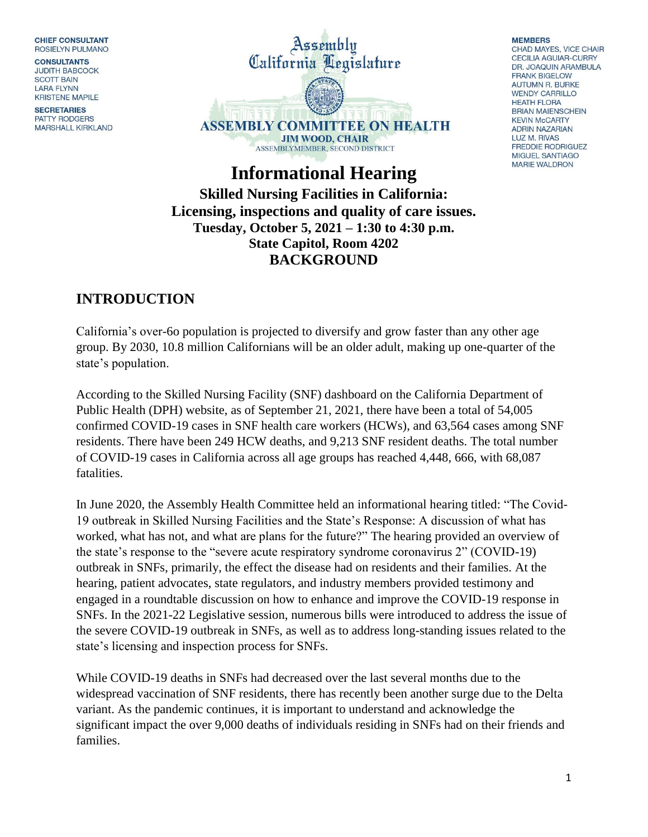**CHIEF CONSULTANT ROSIELYN PULMANO** 

**CONSULTANTS JUDITH BABCOCK SCOTT BAIN LARA FLYNN KRISTENE MAPILE** 

**SECRETARIES PATTY RODGERS MARSHALL KIRKLAND** 



#### **MEMBERS**

CHAD MAYES, VICE CHAIR **CECILIA AGUIAR-CURRY** DR. JOAQUIN ARAMBULA **FRANK BIGELOW AUTUMN R. BURKE WENDY CARRILLO HEATH FLORA BRIAN MAIENSCHEIN KEVIN McCARTY ADRIN NAZARIAN LUZ M. RIVAS FREDDIE RODRIGUEZ** MIGUEL SANTIAGO **MARIE WALDRON** 

**Informational Hearing Skilled Nursing Facilities in California: Licensing, inspections and quality of care issues. Tuesday, October 5, 2021 – 1:30 to 4:30 p.m. State Capitol, Room 4202 BACKGROUND**

### **INTRODUCTION**

California's over-6o population is projected to diversify and grow faster than any other age group. By 2030, 10.8 million Californians will be an older adult, making up one-quarter of the state's population.

According to the Skilled Nursing Facility (SNF) dashboard on the California Department of Public Health (DPH) website, as of September 21, 2021, there have been a total of 54,005 confirmed COVID-19 cases in SNF health care workers (HCWs), and 63,564 cases among SNF residents. There have been 249 HCW deaths, and 9,213 SNF resident deaths. The total number of COVID-19 cases in California across all age groups has reached 4,448, 666, with 68,087 fatalities.

In June 2020, the Assembly Health Committee held an informational hearing titled: "The Covid-19 outbreak in Skilled Nursing Facilities and the State's Response: A discussion of what has worked, what has not, and what are plans for the future?" The hearing provided an overview of the state's response to the "severe acute respiratory syndrome coronavirus 2" (COVID-19) outbreak in SNFs, primarily, the effect the disease had on residents and their families. At the hearing, patient advocates, state regulators, and industry members provided testimony and engaged in a roundtable discussion on how to enhance and improve the COVID-19 response in SNFs. In the 2021-22 Legislative session, numerous bills were introduced to address the issue of the severe COVID-19 outbreak in SNFs, as well as to address long-standing issues related to the state's licensing and inspection process for SNFs.

While COVID-19 deaths in SNFs had decreased over the last several months due to the widespread vaccination of SNF residents, there has recently been another surge due to the Delta variant. As the pandemic continues, it is important to understand and acknowledge the significant impact the over 9,000 deaths of individuals residing in SNFs had on their friends and families.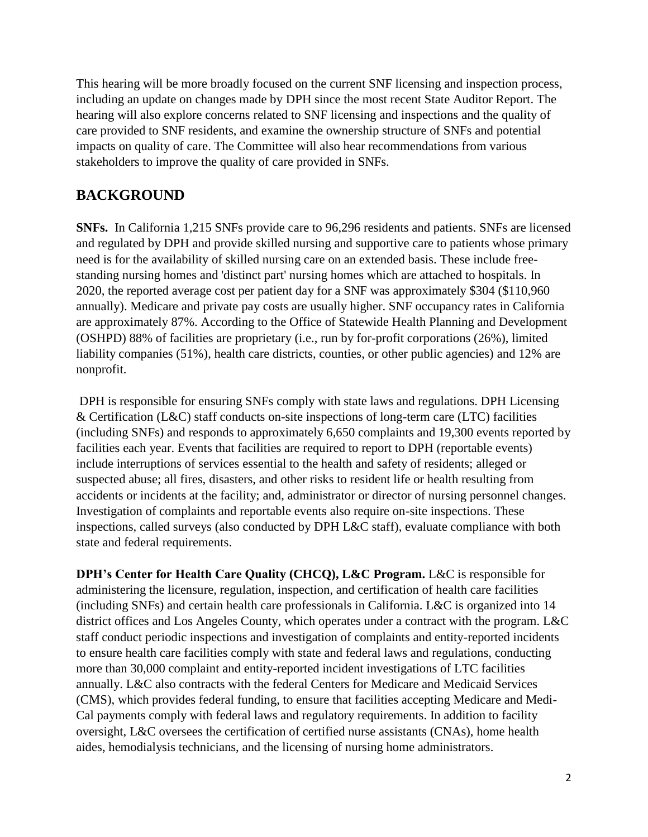This hearing will be more broadly focused on the current SNF licensing and inspection process, including an update on changes made by DPH since the most recent State Auditor Report. The hearing will also explore concerns related to SNF licensing and inspections and the quality of care provided to SNF residents, and examine the ownership structure of SNFs and potential impacts on quality of care. The Committee will also hear recommendations from various stakeholders to improve the quality of care provided in SNFs.

#### **BACKGROUND**

**SNFs.** In California 1,215 SNFs provide care to 96,296 residents and patients. SNFs are licensed and regulated by DPH and provide skilled nursing and supportive care to patients whose primary need is for the availability of skilled nursing care on an extended basis. These include freestanding nursing homes and 'distinct part' nursing homes which are attached to hospitals. In 2020, the reported average cost per patient day for a SNF was approximately \$304 (\$110,960 annually). Medicare and private pay costs are usually higher. SNF occupancy rates in California are approximately 87%. According to the Office of Statewide Health Planning and Development (OSHPD) 88% of facilities are proprietary (i.e., run by for-profit corporations (26%), limited liability companies (51%), health care districts, counties, or other public agencies) and 12% are nonprofit.

DPH is responsible for ensuring SNFs comply with state laws and regulations. DPH Licensing & Certification (L&C) staff conducts on-site inspections of long-term care (LTC) facilities (including SNFs) and responds to approximately 6,650 complaints and 19,300 events reported by facilities each year. Events that facilities are required to report to DPH (reportable events) include interruptions of services essential to the health and safety of residents; alleged or suspected abuse; all fires, disasters, and other risks to resident life or health resulting from accidents or incidents at the facility; and, administrator or director of nursing personnel changes. Investigation of complaints and reportable events also require on-site inspections. These inspections, called surveys (also conducted by DPH L&C staff), evaluate compliance with both state and federal requirements.

**DPH's Center for Health Care Quality (CHCQ), L&C Program.** L&C is responsible for administering the licensure, regulation, inspection, and certification of health care facilities (including SNFs) and certain health care professionals in California. L&C is organized into 14 district offices and Los Angeles County, which operates under a contract with the program. L&C staff conduct periodic inspections and investigation of complaints and entity-reported incidents to ensure health care facilities comply with state and federal laws and regulations, conducting more than 30,000 complaint and entity-reported incident investigations of LTC facilities annually. L&C also contracts with the federal Centers for Medicare and Medicaid Services (CMS), which provides federal funding, to ensure that facilities accepting Medicare and Medi-Cal payments comply with federal laws and regulatory requirements. In addition to facility oversight, L&C oversees the certification of certified nurse assistants (CNAs), home health aides, hemodialysis technicians, and the licensing of nursing home administrators.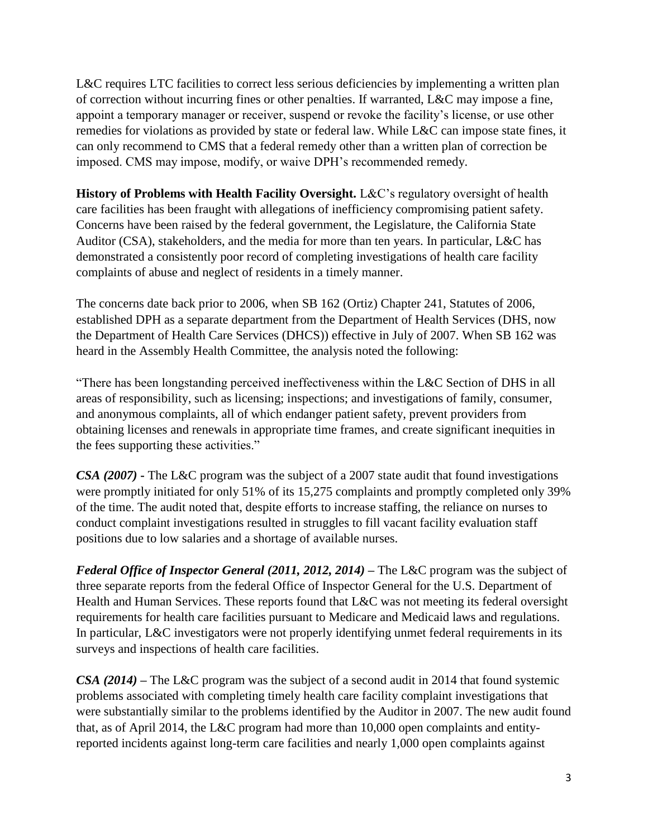L&C requires LTC facilities to correct less serious deficiencies by implementing a written plan of correction without incurring fines or other penalties. If warranted, L&C may impose a fine, appoint a temporary manager or receiver, suspend or revoke the facility's license, or use other remedies for violations as provided by state or federal law. While L&C can impose state fines, it can only recommend to CMS that a federal remedy other than a written plan of correction be imposed. CMS may impose, modify, or waive DPH's recommended remedy.

**History of Problems with Health Facility Oversight.** L&C's regulatory oversight of health care facilities has been fraught with allegations of inefficiency compromising patient safety. Concerns have been raised by the federal government, the Legislature, the California State Auditor (CSA), stakeholders, and the media for more than ten years. In particular, L&C has demonstrated a consistently poor record of completing investigations of health care facility complaints of abuse and neglect of residents in a timely manner.

The concerns date back prior to 2006, when SB 162 (Ortiz) Chapter 241, Statutes of 2006, established DPH as a separate department from the Department of Health Services (DHS, now the Department of Health Care Services (DHCS)) effective in July of 2007. When SB 162 was heard in the Assembly Health Committee, the analysis noted the following:

"There has been longstanding perceived ineffectiveness within the L&C Section of DHS in all areas of responsibility, such as licensing; inspections; and investigations of family, consumer, and anonymous complaints, all of which endanger patient safety, prevent providers from obtaining licenses and renewals in appropriate time frames, and create significant inequities in the fees supporting these activities."

*CSA (2007)* **-** The L&C program was the subject of a 2007 state audit that found investigations were promptly initiated for only 51% of its 15,275 complaints and promptly completed only 39% of the time. The audit noted that, despite efforts to increase staffing, the reliance on nurses to conduct complaint investigations resulted in struggles to fill vacant facility evaluation staff positions due to low salaries and a shortage of available nurses.

*Federal Office of Inspector General (2011, 2012, 2014)* – The L&C program was the subject of three separate reports from the federal Office of Inspector General for the U.S. Department of Health and Human Services. These reports found that L&C was not meeting its federal oversight requirements for health care facilities pursuant to Medicare and Medicaid laws and regulations. In particular, L&C investigators were not properly identifying unmet federal requirements in its surveys and inspections of health care facilities.

*CSA (2014)* **–** The L&C program was the subject of a second audit in 2014 that found systemic problems associated with completing timely health care facility complaint investigations that were substantially similar to the problems identified by the Auditor in 2007. The new audit found that, as of April 2014, the L&C program had more than 10,000 open complaints and entityreported incidents against long-term care facilities and nearly 1,000 open complaints against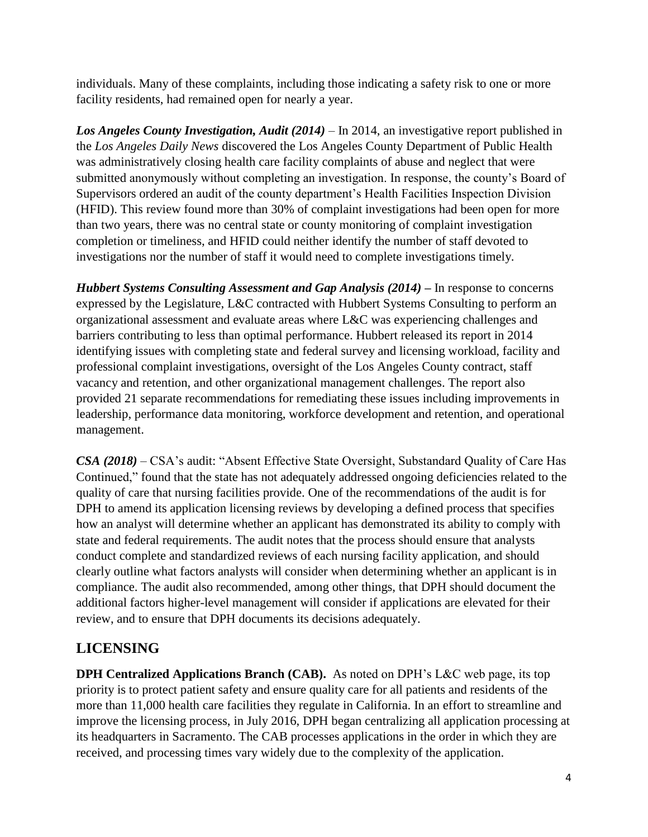individuals. Many of these complaints, including those indicating a safety risk to one or more facility residents, had remained open for nearly a year.

*Los Angeles County Investigation, Audit (2014)* – In 2014, an investigative report published in the *Los Angeles Daily News* discovered the Los Angeles County Department of Public Health was administratively closing health care facility complaints of abuse and neglect that were submitted anonymously without completing an investigation. In response, the county's Board of Supervisors ordered an audit of the county department's Health Facilities Inspection Division (HFID). This review found more than 30% of complaint investigations had been open for more than two years, there was no central state or county monitoring of complaint investigation completion or timeliness, and HFID could neither identify the number of staff devoted to investigations nor the number of staff it would need to complete investigations timely.

*Hubbert Systems Consulting Assessment and Gap Analysis (2014) –* In response to concerns expressed by the Legislature, L&C contracted with Hubbert Systems Consulting to perform an organizational assessment and evaluate areas where L&C was experiencing challenges and barriers contributing to less than optimal performance. Hubbert released its report in 2014 identifying issues with completing state and federal survey and licensing workload, facility and professional complaint investigations, oversight of the Los Angeles County contract, staff vacancy and retention, and other organizational management challenges. The report also provided 21 separate recommendations for remediating these issues including improvements in leadership, performance data monitoring, workforce development and retention, and operational management.

*CSA (2018) –* CSA's audit: "Absent Effective State Oversight, Substandard Quality of Care Has Continued," found that the state has not adequately addressed ongoing deficiencies related to the quality of care that nursing facilities provide. One of the recommendations of the audit is for DPH to amend its application licensing reviews by developing a defined process that specifies how an analyst will determine whether an applicant has demonstrated its ability to comply with state and federal requirements. The audit notes that the process should ensure that analysts conduct complete and standardized reviews of each nursing facility application, and should clearly outline what factors analysts will consider when determining whether an applicant is in compliance. The audit also recommended, among other things, that DPH should document the additional factors higher-level management will consider if applications are elevated for their review, and to ensure that DPH documents its decisions adequately.

# **LICENSING**

**DPH Centralized Applications Branch (CAB).** As noted on DPH's L&C web page, its top priority is to protect patient safety and ensure quality care for all patients and residents of the more than 11,000 health care facilities they regulate in California. In an effort to streamline and improve the licensing process, in July 2016, DPH began centralizing all application processing at its headquarters in Sacramento. The CAB processes applications in the order in which they are received, and processing times vary widely due to the complexity of the application.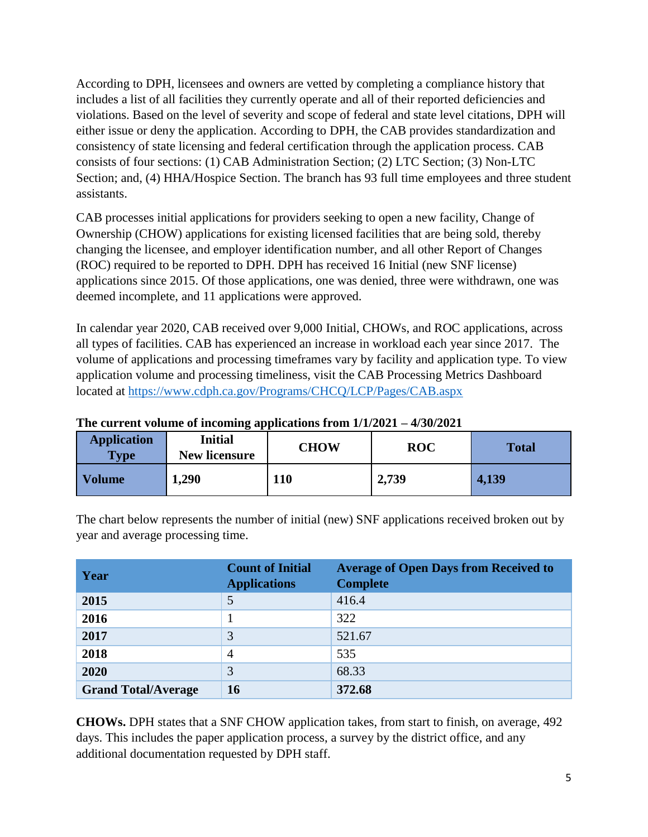According to DPH, licensees and owners are vetted by completing a compliance history that includes a list of all facilities they currently operate and all of their reported deficiencies and violations. Based on the level of severity and scope of federal and state level citations, DPH will either issue or deny the application. According to DPH, the CAB provides standardization and consistency of state licensing and federal certification through the application process. CAB consists of four sections: (1) CAB Administration Section; (2) LTC Section; (3) Non-LTC Section; and, (4) HHA/Hospice Section. The branch has 93 full time employees and three student assistants.

CAB processes initial applications for providers seeking to open a new facility, Change of Ownership (CHOW) applications for existing licensed facilities that are being sold, thereby changing the licensee, and employer identification number, and all other Report of Changes (ROC) required to be reported to DPH. DPH has received 16 Initial (new SNF license) applications since 2015. Of those applications, one was denied, three were withdrawn, one was deemed incomplete, and 11 applications were approved.

In calendar year 2020, CAB received over 9,000 Initial, CHOWs, and ROC applications, across all types of facilities. CAB has experienced an increase in workload each year since 2017. The volume of applications and processing timeframes vary by facility and application type. To view application volume and processing timeliness, visit the CAB Processing Metrics Dashboard located at<https://www.cdph.ca.gov/Programs/CHCQ/LCP/Pages/CAB.aspx>

| <b>Application</b><br><b>Type</b> | <b>Initial</b><br><b>New licensure</b> | <b>CHOW</b> | <b>ROC</b> | <b>Total</b> |
|-----------------------------------|----------------------------------------|-------------|------------|--------------|
| <b>Volume</b>                     | 1,290                                  | 110         | 2,739      | 4,139        |

**The current volume of incoming applications from 1/1/2021 – 4/30/2021**

The chart below represents the number of initial (new) SNF applications received broken out by year and average processing time.

| Year                       | <b>Count of Initial</b><br><b>Applications</b> | <b>Average of Open Days from Received to</b><br><b>Complete</b> |
|----------------------------|------------------------------------------------|-----------------------------------------------------------------|
| 2015                       |                                                | 416.4                                                           |
| 2016                       |                                                | 322                                                             |
| 2017                       | 3                                              | 521.67                                                          |
| 2018                       | $\overline{4}$                                 | 535                                                             |
| 2020                       | 3                                              | 68.33                                                           |
| <b>Grand Total/Average</b> | 16                                             | 372.68                                                          |

**CHOWs.** DPH states that a SNF CHOW application takes, from start to finish, on average, 492 days. This includes the paper application process, a survey by the district office, and any additional documentation requested by DPH staff.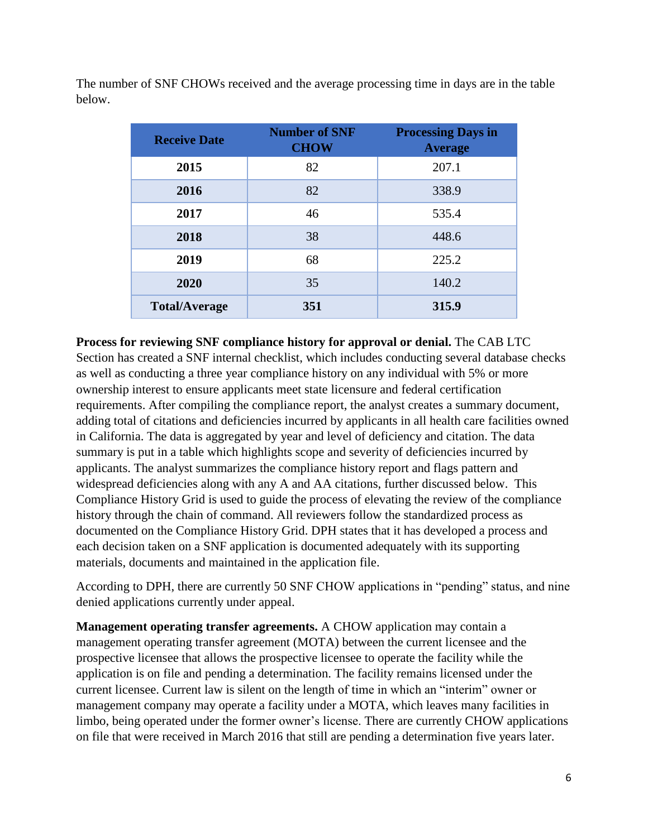The number of SNF CHOWs received and the average processing time in days are in the table below.

| <b>Receive Date</b>  | <b>Number of SNF</b><br><b>CHOW</b> | <b>Processing Days in</b><br><b>Average</b> |
|----------------------|-------------------------------------|---------------------------------------------|
| 2015                 | 82                                  | 207.1                                       |
| 2016                 | 82                                  | 338.9                                       |
| 2017                 | 46                                  | 535.4                                       |
| 2018                 | 38                                  | 448.6                                       |
| 2019                 | 68                                  | 225.2                                       |
| 2020                 | 35                                  | 140.2                                       |
| <b>Total/Average</b> | 351                                 | 315.9                                       |

**Process for reviewing SNF compliance history for approval or denial.** The CAB LTC

Section has created a SNF internal checklist, which includes conducting several database checks as well as conducting a three year compliance history on any individual with 5% or more ownership interest to ensure applicants meet state licensure and federal certification requirements. After compiling the compliance report, the analyst creates a summary document, adding total of citations and deficiencies incurred by applicants in all health care facilities owned in California. The data is aggregated by year and level of deficiency and citation. The data summary is put in a table which highlights scope and severity of deficiencies incurred by applicants. The analyst summarizes the compliance history report and flags pattern and widespread deficiencies along with any A and AA citations, further discussed below. This Compliance History Grid is used to guide the process of elevating the review of the compliance history through the chain of command. All reviewers follow the standardized process as documented on the Compliance History Grid. DPH states that it has developed a process and each decision taken on a SNF application is documented adequately with its supporting materials, documents and maintained in the application file.

According to DPH, there are currently 50 SNF CHOW applications in "pending" status, and nine denied applications currently under appeal.

**Management operating transfer agreements.** A CHOW application may contain a management operating transfer agreement (MOTA) between the current licensee and the prospective licensee that allows the prospective licensee to operate the facility while the application is on file and pending a determination. The facility remains licensed under the current licensee. Current law is silent on the length of time in which an "interim" owner or management company may operate a facility under a MOTA, which leaves many facilities in limbo, being operated under the former owner's license. There are currently CHOW applications on file that were received in March 2016 that still are pending a determination five years later.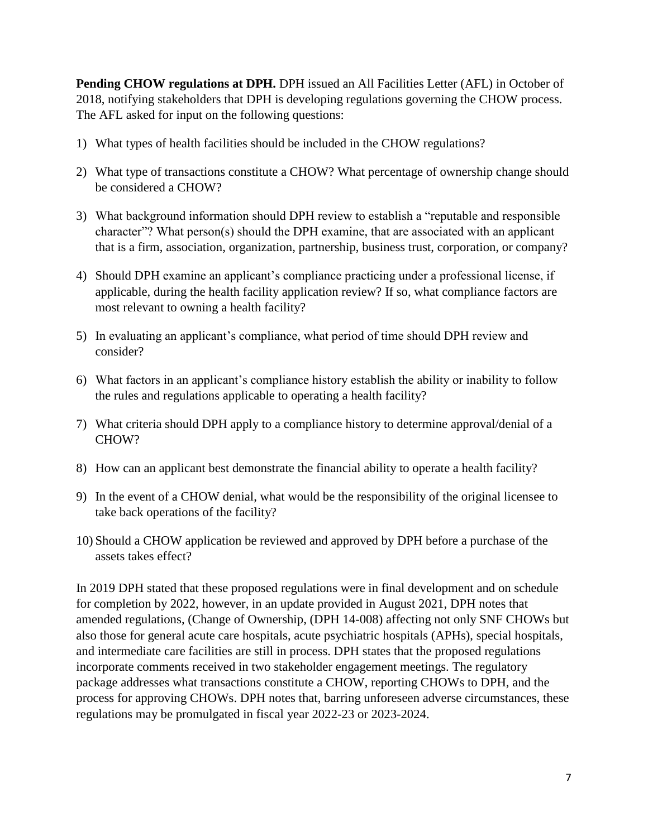**Pending CHOW regulations at DPH.** DPH issued an All Facilities Letter (AFL) in October of 2018, notifying stakeholders that DPH is developing regulations governing the CHOW process. The AFL asked for input on the following questions:

- 1) What types of health facilities should be included in the CHOW regulations?
- 2) What type of transactions constitute a CHOW? What percentage of ownership change should be considered a CHOW?
- 3) What background information should DPH review to establish a "reputable and responsible character"? What person(s) should the DPH examine, that are associated with an applicant that is a firm, association, organization, partnership, business trust, corporation, or company?
- 4) Should DPH examine an applicant's compliance practicing under a professional license, if applicable, during the health facility application review? If so, what compliance factors are most relevant to owning a health facility?
- 5) In evaluating an applicant's compliance, what period of time should DPH review and consider?
- 6) What factors in an applicant's compliance history establish the ability or inability to follow the rules and regulations applicable to operating a health facility?
- 7) What criteria should DPH apply to a compliance history to determine approval/denial of a CHOW?
- 8) How can an applicant best demonstrate the financial ability to operate a health facility?
- 9) In the event of a CHOW denial, what would be the responsibility of the original licensee to take back operations of the facility?
- 10) Should a CHOW application be reviewed and approved by DPH before a purchase of the assets takes effect?

In 2019 DPH stated that these proposed regulations were in final development and on schedule for completion by 2022, however, in an update provided in August 2021, DPH notes that amended regulations, (Change of Ownership, (DPH 14-008) affecting not only SNF CHOWs but also those for general acute care hospitals, acute psychiatric hospitals (APHs), special hospitals, and intermediate care facilities are still in process. DPH states that the proposed regulations incorporate comments received in two stakeholder engagement meetings. The regulatory package addresses what transactions constitute a CHOW, reporting CHOWs to DPH, and the process for approving CHOWs. DPH notes that, barring unforeseen adverse circumstances, these regulations may be promulgated in fiscal year 2022-23 or 2023-2024.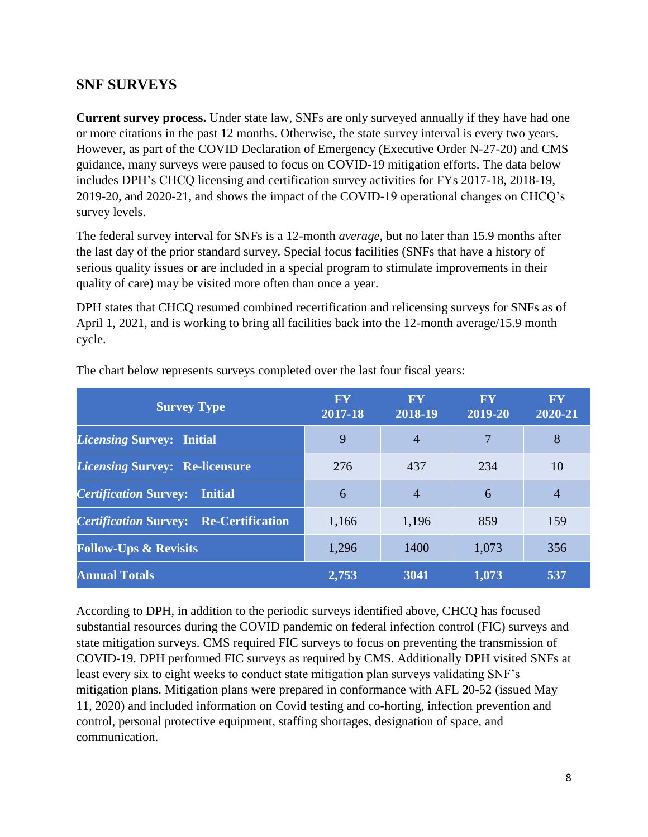#### **SNF SURVEYS**

**Current survey process.** Under state law, SNFs are only surveyed annually if they have had one or more citations in the past 12 months. Otherwise, the state survey interval is every two years. However, as part of the COVID Declaration of Emergency (Executive Order N-27-20) and CMS guidance, many surveys were paused to focus on COVID-19 mitigation efforts. The data below includes DPH's CHCQ licensing and certification survey activities for FYs 2017-18, 2018-19, 2019-20, and 2020-21, and shows the impact of the COVID-19 operational changes on CHCQ's survey levels.

The federal survey interval for SNFs is a 12-month *average*, but no later than 15.9 months after the last day of the prior standard survey. Special focus facilities (SNFs that have a history of serious quality issues or are included in a special program to stimulate improvements in their quality of care) may be visited more often than once a year.

DPH states that CHCQ resumed combined recertification and relicensing surveys for SNFs as of April 1, 2021, and is working to bring all facilities back into the 12-month average/15.9 month cycle.

| <b>Survey Type</b>                               | <b>FY</b><br>2017-18 | <b>FY</b><br>2018-19 | <b>FY</b><br>2019-20 | <b>FY</b><br>2020-21 |
|--------------------------------------------------|----------------------|----------------------|----------------------|----------------------|
| <i>Licensing Survey: Initial</i>                 | 9                    | $\overline{4}$       | 7                    | 8                    |
| <i><b>Licensing Survey: Re-licensure</b></i>     | 276                  | 437                  | 234                  | 10                   |
| <b>Certification Survey:</b><br>Initial          | 6                    | $\overline{4}$       | 6                    | $\overline{4}$       |
| <b>Certification Survey:</b><br>Re-Certification | 1,166                | 1,196                | 859                  | 159                  |
| <b>Follow-Ups &amp; Revisits</b>                 | 1,296                | 1400                 | 1,073                | 356                  |
| <b>Annual Totals</b>                             | 2,753                | 3041                 | 1,073                | 537                  |

The chart below represents surveys completed over the last four fiscal years:

According to DPH, in addition to the periodic surveys identified above, CHCQ has focused substantial resources during the COVID pandemic on federal infection control (FIC) surveys and state mitigation surveys. CMS required FIC surveys to focus on preventing the transmission of COVID-19. DPH performed FIC surveys as required by CMS. Additionally DPH visited SNFs at least every six to eight weeks to conduct state mitigation plan surveys validating SNF's mitigation plans. Mitigation plans were prepared in conformance with AFL 20-52 (issued May 11, 2020) and included information on Covid testing and co-horting, infection prevention and control, personal protective equipment, staffing shortages, designation of space, and communication.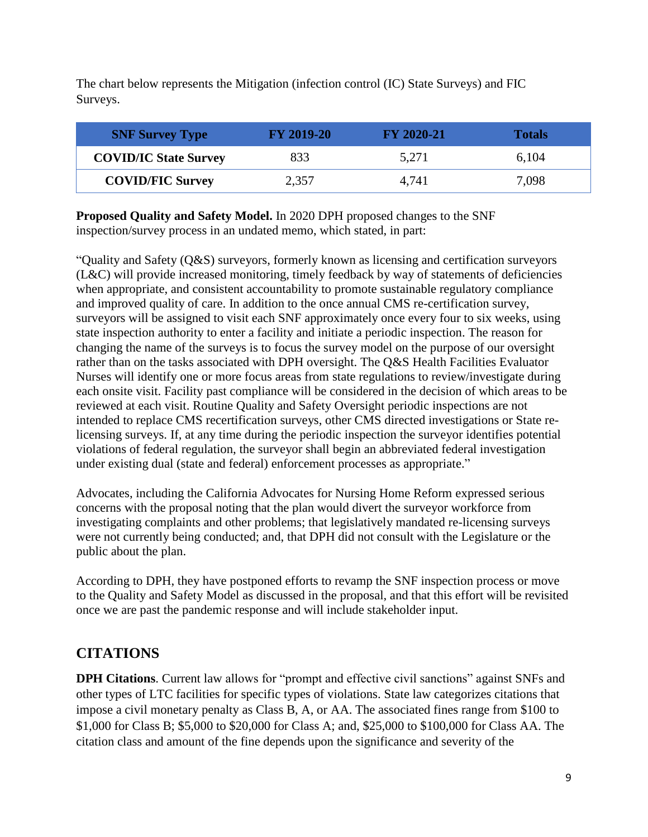The chart below represents the Mitigation (infection control (IC) State Surveys) and FIC Surveys.

| <b>SNF Survey Type</b>       | <b>FY 2019-20</b> | <b>FY 2020-21</b> | <b>Totals</b> |
|------------------------------|-------------------|-------------------|---------------|
| <b>COVID/IC State Survey</b> | 833               | 5,271             | 6,104         |
| <b>COVID/FIC Survey</b>      | 2,357             | 4,741             | 7,098         |

**Proposed Quality and Safety Model.** In 2020 DPH proposed changes to the SNF inspection/survey process in an undated memo, which stated, in part:

"Quality and Safety (Q&S) surveyors, formerly known as licensing and certification surveyors (L&C) will provide increased monitoring, timely feedback by way of statements of deficiencies when appropriate, and consistent accountability to promote sustainable regulatory compliance and improved quality of care. In addition to the once annual CMS re-certification survey, surveyors will be assigned to visit each SNF approximately once every four to six weeks, using state inspection authority to enter a facility and initiate a periodic inspection. The reason for changing the name of the surveys is to focus the survey model on the purpose of our oversight rather than on the tasks associated with DPH oversight. The Q&S Health Facilities Evaluator Nurses will identify one or more focus areas from state regulations to review/investigate during each onsite visit. Facility past compliance will be considered in the decision of which areas to be reviewed at each visit. Routine Quality and Safety Oversight periodic inspections are not intended to replace CMS recertification surveys, other CMS directed investigations or State relicensing surveys. If, at any time during the periodic inspection the surveyor identifies potential violations of federal regulation, the surveyor shall begin an abbreviated federal investigation under existing dual (state and federal) enforcement processes as appropriate."

Advocates, including the California Advocates for Nursing Home Reform expressed serious concerns with the proposal noting that the plan would divert the surveyor workforce from investigating complaints and other problems; that legislatively mandated re-licensing surveys were not currently being conducted; and, that DPH did not consult with the Legislature or the public about the plan.

According to DPH, they have postponed efforts to revamp the SNF inspection process or move to the Quality and Safety Model as discussed in the proposal, and that this effort will be revisited once we are past the pandemic response and will include stakeholder input.

# **CITATIONS**

**DPH Citations**. Current law allows for "prompt and effective civil sanctions" against SNFs and other types of LTC facilities for specific types of violations. State law categorizes citations that impose a civil monetary penalty as Class B, A, or AA. The associated fines range from \$100 to \$1,000 for Class B; \$5,000 to \$20,000 for Class A; and, \$25,000 to \$100,000 for Class AA. The citation class and amount of the fine depends upon the significance and severity of the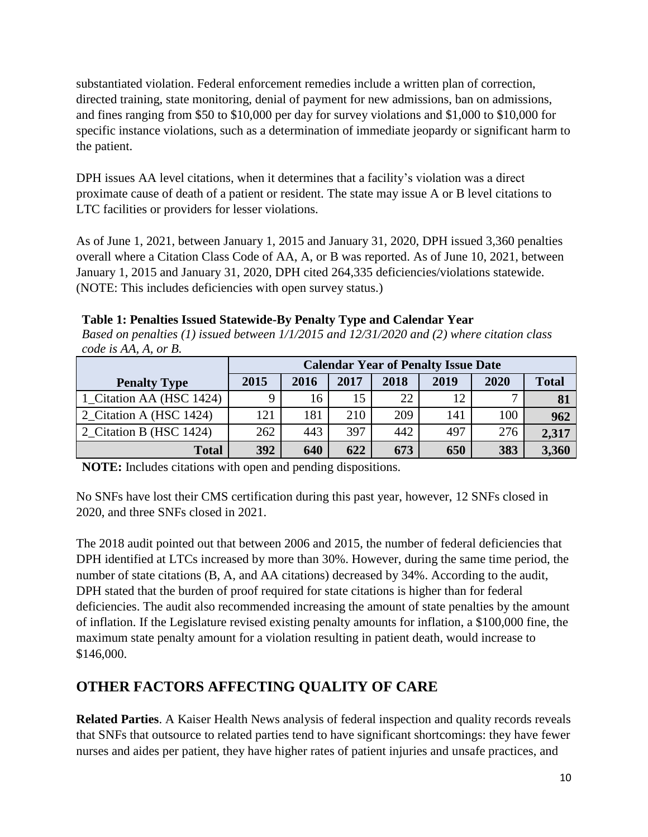substantiated violation. Federal enforcement remedies include a written plan of correction, directed training, state monitoring, denial of payment for new admissions, ban on admissions, and fines ranging from \$50 to \$10,000 per day for survey violations and \$1,000 to \$10,000 for specific instance violations, such as a determination of immediate jeopardy or significant harm to the patient.

DPH issues AA level citations, when it determines that a facility's violation was a direct proximate cause of death of a patient or resident. The state may issue A or B level citations to LTC facilities or providers for lesser violations.

As of June 1, 2021, between January 1, 2015 and January 31, 2020, DPH issued 3,360 penalties overall where a Citation Class Code of AA, A, or B was reported. As of June 10, 2021, between January 1, 2015 and January 31, 2020, DPH cited 264,335 deficiencies/violations statewide. (NOTE: This includes deficiencies with open survey status.)

*Based on penalties (1) issued between 1/1/2015 and 12/31/2020 and (2) where citation class* 

| code is AA, A, or B.     |      |                                            |      |      |      |      |              |
|--------------------------|------|--------------------------------------------|------|------|------|------|--------------|
|                          |      | <b>Calendar Year of Penalty Issue Date</b> |      |      |      |      |              |
| <b>Penalty Type</b>      | 2015 | 2016                                       | 2017 | 2018 | 2019 | 2020 | <b>Total</b> |
| 1_Citation AA (HSC 1424) |      | 16                                         | 15   | 22   | 12   |      | 81           |
| 2_Citation A (HSC 1424)  | 121  | 181                                        | 210  | 209  | 141  | 100  | 962          |
| 2 Citation B (HSC 1424)  | 262  | 443                                        | 397  | 442  | 497  | 276  | 2,317        |
| <b>Total</b>             | 392  | 640                                        | 622  | 673  | 650  | 383  | 3,360        |

| Table 1: Penalties Issued Statewide-By Penalty Type and Calendar Year |  |  |
|-----------------------------------------------------------------------|--|--|
|                                                                       |  |  |
|                                                                       |  |  |
|                                                                       |  |  |

**NOTE:** Includes citations with open and pending dispositions.

No SNFs have lost their CMS certification during this past year, however, 12 SNFs closed in 2020, and three SNFs closed in 2021.

The 2018 audit pointed out that between 2006 and 2015, the number of federal deficiencies that DPH identified at LTCs increased by more than 30%. However, during the same time period, the number of state citations (B, A, and AA citations) decreased by 34%. According to the audit, DPH stated that the burden of proof required for state citations is higher than for federal deficiencies. The audit also recommended increasing the amount of state penalties by the amount of inflation. If the Legislature revised existing penalty amounts for inflation, a \$100,000 fine, the maximum state penalty amount for a violation resulting in patient death, would increase to \$146,000.

# **OTHER FACTORS AFFECTING QUALITY OF CARE**

**Related Parties**. A Kaiser Health News analysis of federal inspection and quality records reveals that SNFs that outsource to related parties tend to have significant shortcomings: they have fewer nurses and aides per patient, they have higher rates of patient injuries and unsafe practices, and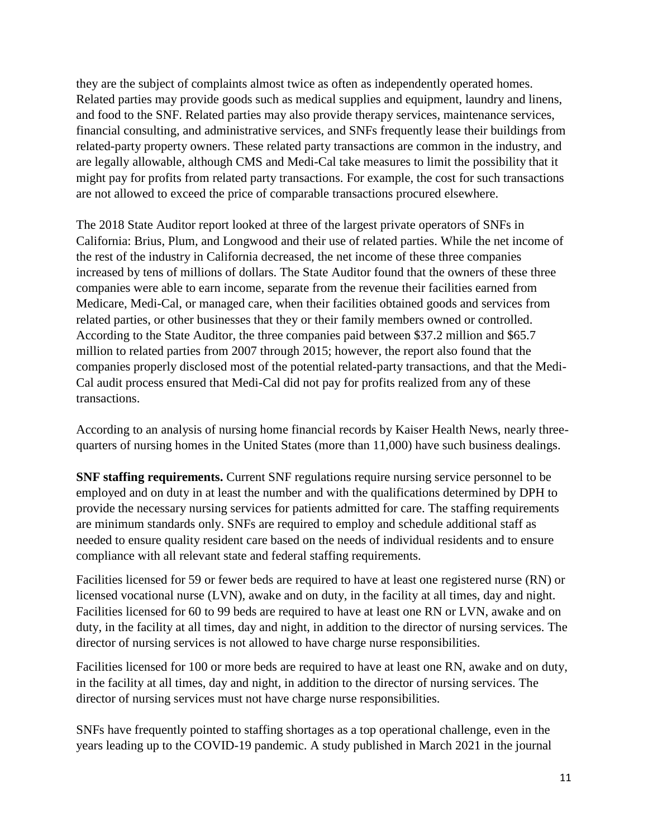they are the subject of complaints almost twice as often as independently operated homes. Related parties may provide goods such as medical supplies and equipment, laundry and linens, and food to the SNF. Related parties may also provide therapy services, maintenance services, financial consulting, and administrative services, and SNFs frequently lease their buildings from related-party property owners. These related party transactions are common in the industry, and are legally allowable, although CMS and Medi-Cal take measures to limit the possibility that it might pay for profits from related party transactions. For example, the cost for such transactions are not allowed to exceed the price of comparable transactions procured elsewhere.

The 2018 State Auditor report looked at three of the largest private operators of SNFs in California: Brius, Plum, and Longwood and their use of related parties. While the net income of the rest of the industry in California decreased, the net income of these three companies increased by tens of millions of dollars. The State Auditor found that the owners of these three companies were able to earn income, separate from the revenue their facilities earned from Medicare, Medi-Cal, or managed care, when their facilities obtained goods and services from related parties, or other businesses that they or their family members owned or controlled. According to the State Auditor, the three companies paid between \$37.2 million and \$65.7 million to related parties from 2007 through 2015; however, the report also found that the companies properly disclosed most of the potential related-party transactions, and that the Medi-Cal audit process ensured that Medi-Cal did not pay for profits realized from any of these transactions.

According to an analysis of nursing home financial records by Kaiser Health News, nearly threequarters of nursing homes in the United States (more than 11,000) have such business dealings.

**SNF staffing requirements.** Current SNF regulations require nursing service personnel to be employed and on duty in at least the number and with the qualifications determined by DPH to provide the necessary nursing services for patients admitted for care. The staffing requirements are minimum standards only. SNFs are required to employ and schedule additional staff as needed to ensure quality resident care based on the needs of individual residents and to ensure compliance with all relevant state and federal staffing requirements.

Facilities licensed for 59 or fewer beds are required to have at least one registered nurse (RN) or licensed vocational nurse (LVN), awake and on duty, in the facility at all times, day and night. Facilities licensed for 60 to 99 beds are required to have at least one RN or LVN, awake and on duty, in the facility at all times, day and night, in addition to the director of nursing services. The director of nursing services is not allowed to have charge nurse responsibilities.

Facilities licensed for 100 or more beds are required to have at least one RN, awake and on duty, in the facility at all times, day and night, in addition to the director of nursing services. The director of nursing services must not have charge nurse responsibilities.

SNFs have frequently pointed to staffing shortages as a top operational challenge, even in the years leading up to the COVID-19 pandemic. A study published in March 2021 in the journal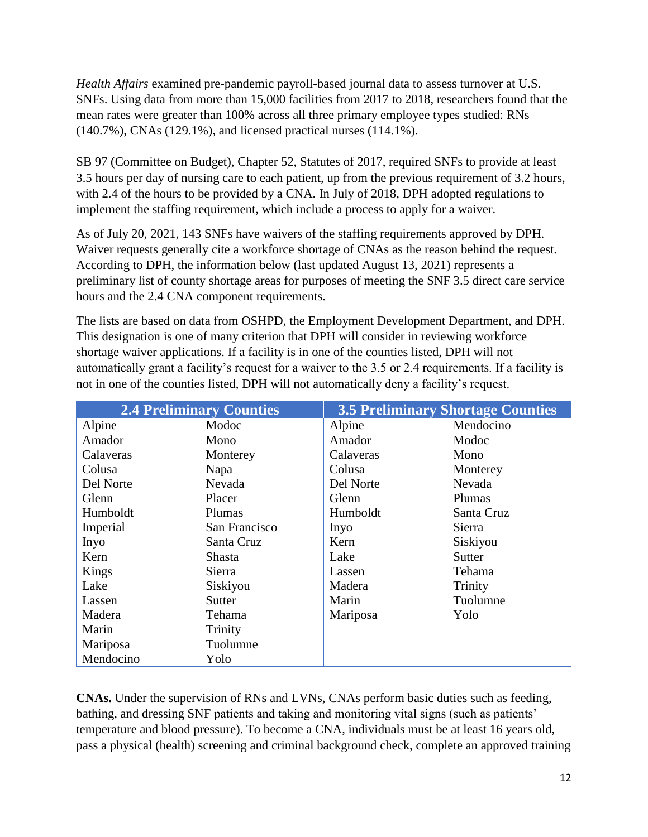*Health Affairs* examined pre-pandemic payroll-based journal data to assess turnover at U.S. SNFs. Using data from more than 15,000 facilities from 2017 to 2018, researchers found that the mean rates were greater than 100% across all three primary employee types studied: RNs (140.7%), CNAs (129.1%), and licensed practical nurses (114.1%).

SB 97 (Committee on Budget), Chapter 52, Statutes of 2017, required SNFs to provide at least 3.5 hours per day of nursing care to each patient, up from the previous requirement of 3.2 hours, with 2.4 of the hours to be provided by a CNA. In July of 2018, DPH adopted regulations to implement the staffing requirement, which include a process to apply for a waiver.

As of July 20, 2021, 143 SNFs have waivers of the staffing requirements approved by DPH. Waiver requests generally cite a workforce shortage of CNAs as the reason behind the request. According to DPH, the information below (last updated August 13, 2021) represents a preliminary list of county shortage areas for purposes of meeting the SNF 3.5 direct care service hours and the 2.4 CNA component requirements.

The lists are based on data from OSHPD, the Employment Development Department, and DPH. This designation is one of many criterion that DPH will consider in reviewing workforce shortage waiver applications. If a facility is in one of the counties listed, DPH will not automatically grant a facility's request for a waiver to the 3.5 or 2.4 requirements. If a facility is not in one of the counties listed, DPH will not automatically deny a facility's request.

|           | <b>2.4 Preliminary Counties</b> |           | <b>3.5 Preliminary Shortage Counties</b> |
|-----------|---------------------------------|-----------|------------------------------------------|
| Alpine    | Modoc                           | Alpine    | Mendocino                                |
| Amador    | Mono                            | Amador    | Modoc                                    |
| Calaveras | Monterey                        | Calaveras | Mono                                     |
| Colusa    | Napa                            | Colusa    | Monterey                                 |
| Del Norte | Nevada                          | Del Norte | Nevada                                   |
| Glenn     | Placer                          | Glenn     | Plumas                                   |
| Humboldt  | Plumas                          | Humboldt  | Santa Cruz                               |
| Imperial  | San Francisco                   | Inyo      | Sierra                                   |
| Inyo      | Santa Cruz                      | Kern      | Siskiyou                                 |
| Kern      | Shasta                          | Lake      | Sutter                                   |
| Kings     | Sierra                          | Lassen    | Tehama                                   |
| Lake      | Siskiyou                        | Madera    | Trinity                                  |
| Lassen    | Sutter                          | Marin     | Tuolumne                                 |
| Madera    | Tehama                          | Mariposa  | Yolo                                     |
| Marin     | Trinity                         |           |                                          |
| Mariposa  | Tuolumne                        |           |                                          |
| Mendocino | Yolo                            |           |                                          |

**CNAs.** Under the supervision of RNs and LVNs, CNAs perform basic duties such as feeding, bathing, and dressing SNF patients and taking and monitoring vital signs (such as patients' temperature and blood pressure). To become a CNA, individuals must be at least 16 years old, pass a physical (health) screening and criminal background check, complete an approved training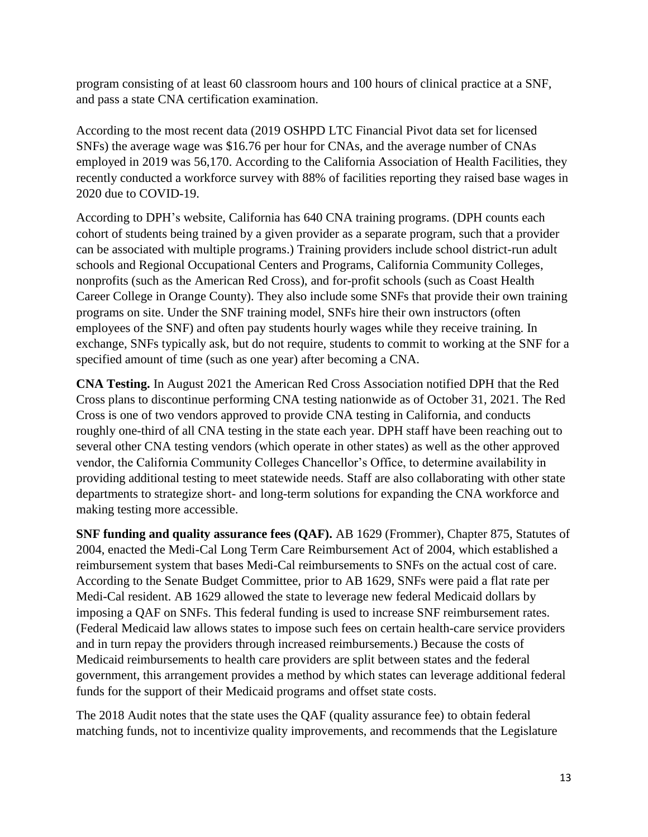program consisting of at least 60 classroom hours and 100 hours of clinical practice at a SNF, and pass a state CNA certification examination.

According to the most recent data (2019 OSHPD LTC Financial Pivot data set for licensed SNFs) the average wage was \$16.76 per hour for CNAs, and the average number of CNAs employed in 2019 was 56,170. According to the California Association of Health Facilities, they recently conducted a workforce survey with 88% of facilities reporting they raised base wages in 2020 due to COVID-19.

According to DPH's website, California has 640 CNA training programs. (DPH counts each cohort of students being trained by a given provider as a separate program, such that a provider can be associated with multiple programs.) Training providers include school district-run adult schools and Regional Occupational Centers and Programs, California Community Colleges, nonprofits (such as the American Red Cross), and for-profit schools (such as Coast Health Career College in Orange County). They also include some SNFs that provide their own training programs on site. Under the SNF training model, SNFs hire their own instructors (often employees of the SNF) and often pay students hourly wages while they receive training. In exchange, SNFs typically ask, but do not require, students to commit to working at the SNF for a specified amount of time (such as one year) after becoming a CNA.

**CNA Testing.** In August 2021 the American Red Cross Association notified DPH that the Red Cross plans to discontinue performing CNA testing nationwide as of October 31, 2021. The Red Cross is one of two vendors approved to provide CNA testing in California, and conducts roughly one-third of all CNA testing in the state each year. DPH staff have been reaching out to several other CNA testing vendors (which operate in other states) as well as the other approved vendor, the California Community Colleges Chancellor's Office, to determine availability in providing additional testing to meet statewide needs. Staff are also collaborating with other state departments to strategize short- and long-term solutions for expanding the CNA workforce and making testing more accessible.

**SNF funding and quality assurance fees (QAF).** AB 1629 (Frommer), Chapter 875, Statutes of 2004, enacted the Medi-Cal Long Term Care Reimbursement Act of 2004, which established a reimbursement system that bases Medi-Cal reimbursements to SNFs on the actual cost of care. According to the Senate Budget Committee, prior to AB 1629, SNFs were paid a flat rate per Medi-Cal resident. AB 1629 allowed the state to leverage new federal Medicaid dollars by imposing a QAF on SNFs. This federal funding is used to increase SNF reimbursement rates. (Federal Medicaid law allows states to impose such fees on certain health-care service providers and in turn repay the providers through increased reimbursements.) Because the costs of Medicaid reimbursements to health care providers are split between states and the federal government, this arrangement provides a method by which states can leverage additional federal funds for the support of their Medicaid programs and offset state costs.

The 2018 Audit notes that the state uses the QAF (quality assurance fee) to obtain federal matching funds, not to incentivize quality improvements, and recommends that the Legislature